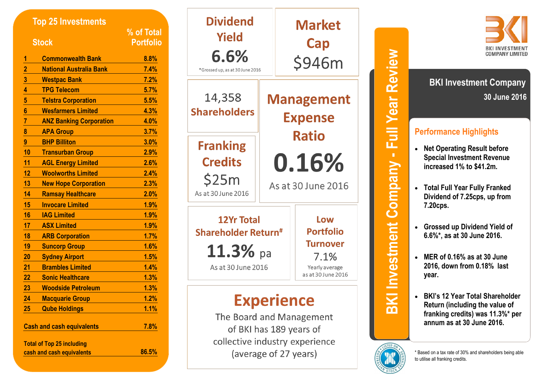| <b>Top 25 Investments</b>        |                                  | % of Total       |  |
|----------------------------------|----------------------------------|------------------|--|
| <b>Stock</b>                     |                                  | <b>Portfolio</b> |  |
| 1                                | <b>Commonwealth Bank</b>         | 8.8%             |  |
|                                  | <b>National Australia Bank</b>   | 7.4%             |  |
| $\frac{2}{3}$                    | <b>Westpac Bank</b>              | 7.2%             |  |
|                                  | <b>TPG Telecom</b>               | 5.7%             |  |
| $\overline{5}$                   | <b>Telstra Corporation</b>       | 5.5%             |  |
| $6\phantom{a}$                   | <b>Wesfarmers Limited</b>        | 4.3%             |  |
| $\overline{7}$                   | <b>ANZ Banking Corporation</b>   | 4.0%             |  |
| 8                                | <b>APA Group</b>                 | 3.7%             |  |
| 9                                | <b>BHP Billiton</b>              | 3.0%             |  |
| 10                               | <b>Transurban Group</b>          | 2.9%             |  |
| 11                               | <b>AGL Energy Limited</b>        | 2.6%             |  |
| 12                               | <b>Woolworths Limited</b>        | 2.4%             |  |
| 13                               | <b>New Hope Corporation</b>      | 2.3%             |  |
| 14                               | <b>Ramsay Healthcare</b>         | 2.0%             |  |
| 15                               | <b>Invocare Limited</b>          | 1.9%             |  |
| 16                               | <b>IAG Limited</b>               | 1.9%             |  |
| 17                               | <b>ASX Limited</b>               | 1.9%             |  |
| 18                               | <b>ARB Corporation</b>           | 1.7%             |  |
| 19                               | <b>Suncorp Group</b>             | 1.6%             |  |
| 20                               | <b>Sydney Airport</b>            | 1.5%             |  |
| 21                               | <b>Brambles Limited</b>          | 1.4%             |  |
| 22                               | <b>Sonic Healthcare</b>          | 1.3%             |  |
| 23                               | <b>Woodside Petroleum</b>        | 1.3%             |  |
| 24                               | <b>Macquarie Group</b>           | 1.2%             |  |
| 25                               | <b>Qube Holdings</b>             | 1.1%             |  |
| <b>Cash and cash equivalents</b> |                                  | 7.8%             |  |
|                                  | <b>Total of Top 25 including</b> |                  |  |
|                                  | cash and cash equivalents        | 86.5%            |  |

| <b>Dividend</b><br>Yield<br>6.6%<br>*Grossed up, as at 30 June 2016                                      |                                             | <b>Market</b><br><b>Cap</b><br>\$946m                                                      |  |
|----------------------------------------------------------------------------------------------------------|---------------------------------------------|--------------------------------------------------------------------------------------------|--|
| 14,358<br><b>Shareholders</b>                                                                            |                                             | <b>Management</b><br><b>Expense</b>                                                        |  |
| <b>Franking</b><br><b>Credits</b><br>\$25m<br>As at 30 June 2016                                         | <b>Ratio</b><br>0.16%<br>As at 30 June 2016 |                                                                                            |  |
| <b>12Yr Total</b><br><b>Shareholder Return<sup>#</sup></b><br>$\mathbf{11.3\%}$ pa<br>As at 30 June 2016 |                                             | Low<br><b>Portfolio</b><br><b>Turnover</b><br>7.1%<br>Yearly average<br>as at 30 June 2016 |  |
| <b>Experience</b>                                                                                        |                                             |                                                                                            |  |

The Board and Management of BKI has 189 years of collective industry experience (average of 27 years)





**30 June 2016 BKI Investment Company** 

# **Performance Highlights**

- **Net Operating Result before Special Investment Revenue increased 1% to \$41.2m.**
- **Total Full Year Fully Franked Dividend of 7.25cps, up from 7.20cps.**
- **Grossed up Dividend Yield of 6.6%\*, as at 30 June 2016.**
- **MER of 0.16% as at 30 June 2016, down from 0.18% last year.**



 **BKI's 12 Year Total Shareholder Return (including the value of franking credits) was 11.3%\* per annum as at 30 June 2016.**